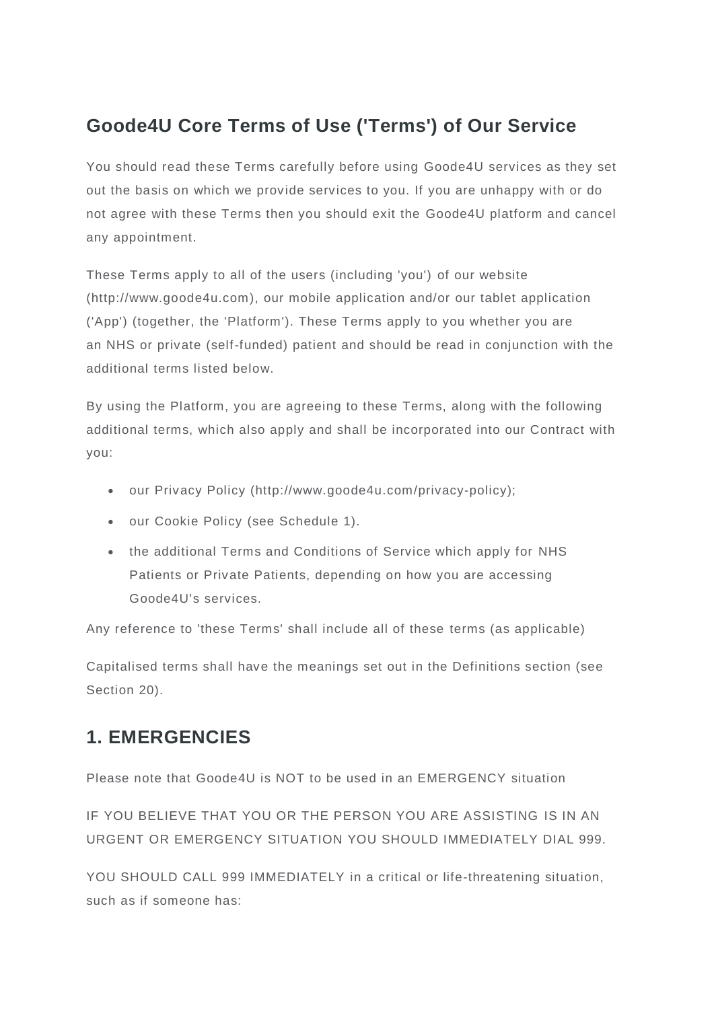# **Goode4U Core Terms of Use ('Terms') of Our Service**

You should read these Terms carefully before using Goode4U services as they set out the basis on which we provide services to you. If you are unhappy with or do not agree with these Terms then you should exit the Goode4U platform and cancel any appointment.

These Terms apply to all of the users (including 'you') of our website (http://www.goode4u.com), our mobile application and/or our tablet application ('App') (together, the 'Platform'). These Terms apply to you whether you are an NHS or private (self-funded) patient and should be read in conjunction with the additional terms listed below.

By using the Platform, you are agreeing to these Terms, along with the following additional terms, which also apply and shall be incorporated into our Contract with you:

- our Privacy Policy (http://www.goode4u.com/privacy-policy);
- our Cookie Policy (see Schedule 1).
- the additional Terms and Conditions of Service which apply for NHS Patients or Private Patients, depending on how you are accessing Goode4U's services.

Any reference to 'these Terms' shall include all of these terms (as applicable)

Capitalised terms shall have the meanings set out in the Definitions section (see Section 20).

# **1. EMERGENCIES**

Please note that Goode4U is NOT to be used in an EMERGENCY situation

IF YOU BELIEVE THAT YOU OR THE PERSON YOU ARE ASSISTING IS IN AN URGENT OR EMERGENCY SITUATION YOU SHOULD IMMEDIATELY DIAL 999.

YOU SHOULD CALL 999 IMMEDIATELY in a critical or life-threatening situation, such as if someone has: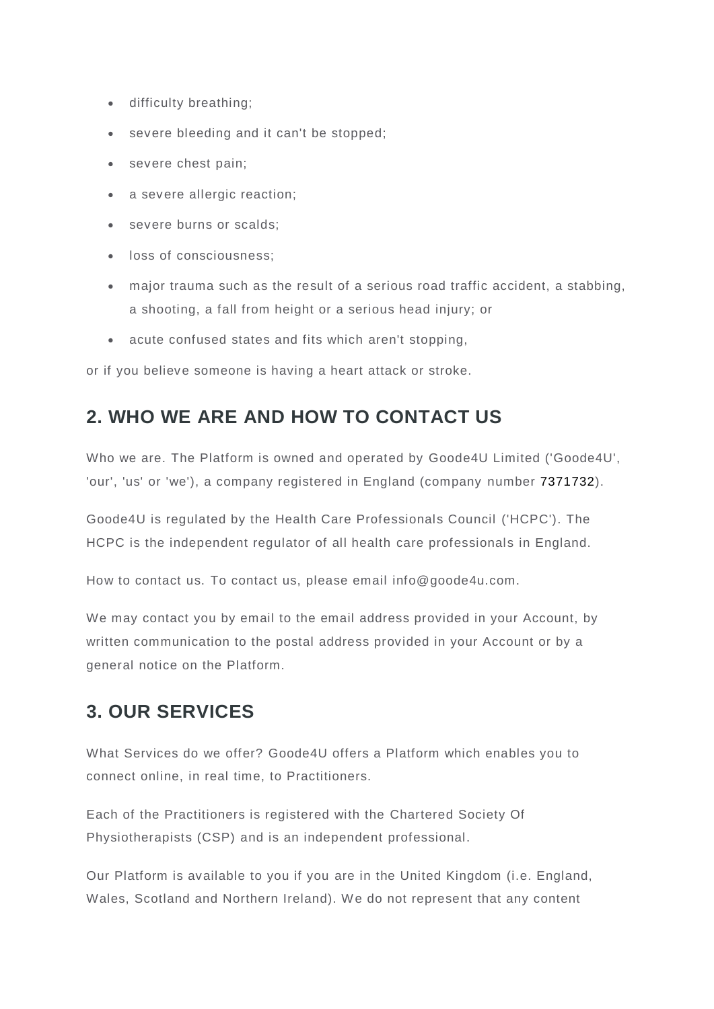- difficulty breathing;
- severe bleeding and it can't be stopped;
- severe chest pain;
- a severe allergic reaction;
- severe burns or scalds;
- loss of consciousness;
- major trauma such as the result of a serious road traffic accident, a stabbing, a shooting, a fall from height or a serious head injury; or
- acute confused states and fits which aren't stopping,

or if you believe someone is having a heart attack or stroke.

# **2. WHO WE ARE AND HOW TO CONTACT US**

Who we are. The Platform is owned and operated by Goode4U Limited ('Goode4U', 'our', 'us' or 'we'), a company registered in England (company number 7371732).

Goode4U is regulated by the Health Care Professionals Council ('HCPC'). The HCPC is the independent regulator of all health care professionals in England.

How to contact us. To contact us, please email info@goode4u.com.

We may contact you by email to the email address provided in your Account, by written communication to the postal address provided in your Account or by a general notice on the Platform.

# **3. OUR SERVICES**

What Services do we offer? Goode4U offers a Platform which enables you to connect online, in real time, to Practitioners.

Each of the Practitioners is registered with the Chartered Society Of Physiotherapists (CSP) and is an independent professional.

Our Platform is available to you if you are in the United Kingdom (i.e. England, Wales, Scotland and Northern Ireland). We do not represent that any content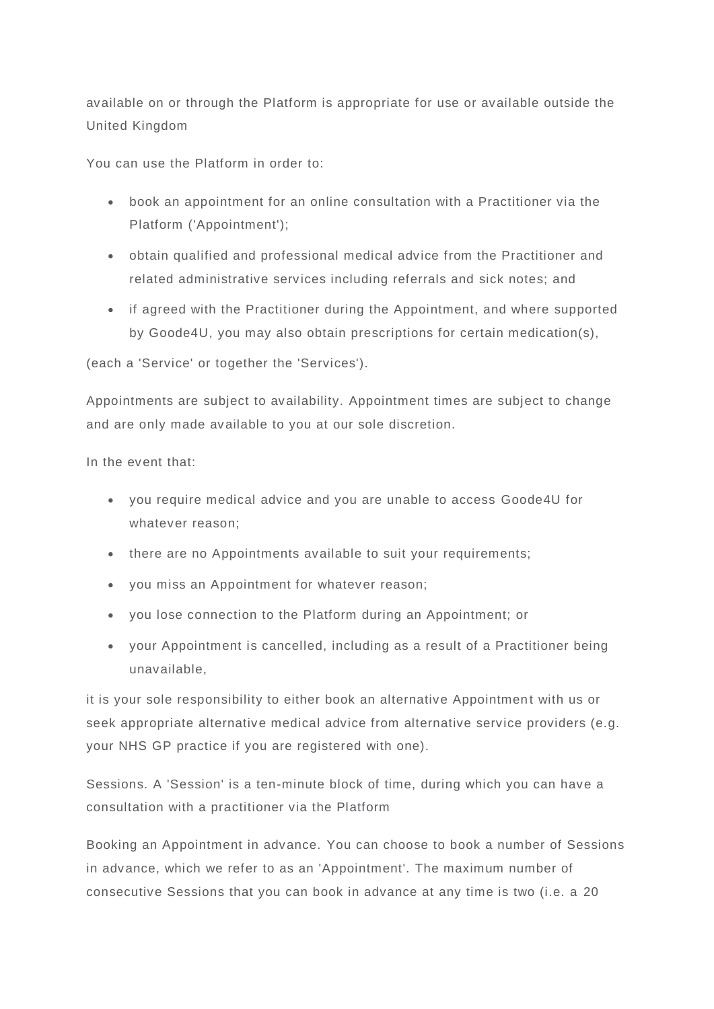available on or through the Platform is appropriate for use or available outside the United Kingdom

You can use the Platform in order to:

- book an appointment for an online consultation with a Practitioner via the Platform ('Appointment');
- obtain qualified and professional medical advice from the Practitioner and related administrative services including referrals and sick notes; and
- if agreed with the Practitioner during the Appointment, and where supported by Goode4U, you may also obtain prescriptions for certain medication(s),

(each a 'Service' or together the 'Services').

Appointments are subject to availability. Appointment times are subject to change and are only made available to you at our sole discretion.

In the event that:

- you require medical advice and you are unable to access Goode4U for whatever reason;
- there are no Appointments available to suit your requirements;
- you miss an Appointment for whatever reason;
- you lose connection to the Platform during an Appointment; or
- your Appointment is cancelled, including as a result of a Practitioner being unavailable,

it is your sole responsibility to either book an alternative Appointment with us or seek appropriate alternative medical advice from alternative service providers (e.g. your NHS GP practice if you are registered with one).

Sessions. A 'Session' is a ten-minute block of time, during which you can have a consultation with a practitioner via the Platform

Booking an Appointment in advance. You can choose to book a number of Sessions in advance, which we refer to as an 'Appointment'. The maximum number of consecutive Sessions that you can book in advance at any time is two (i.e. a 20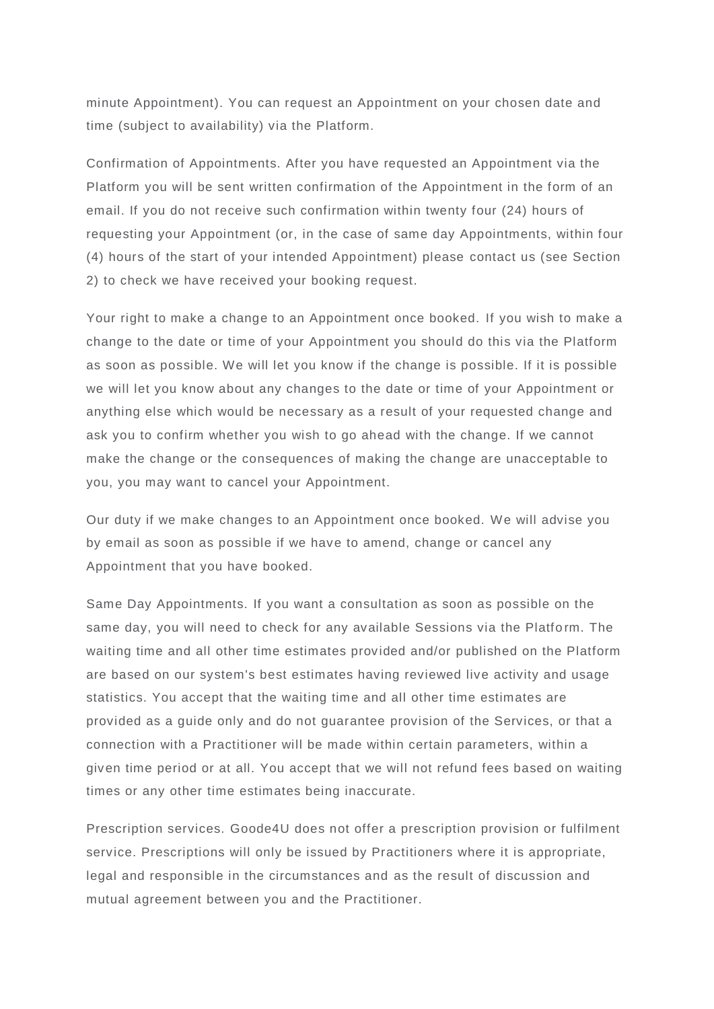minute Appointment). You can request an Appointment on your chosen date and time (subject to availability) via the Platform.

Confirmation of Appointments. After you have requested an Appointment via the Platform you will be sent written confirmation of the Appointment in the form of an email. If you do not receive such confirmation within twenty four (24) hours of requesting your Appointment (or, in the case of same day Appointments, within four (4) hours of the start of your intended Appointment) please contact us (see Section 2) to check we have received your booking request.

Your right to make a change to an Appointment once booked. If you wish to make a change to the date or time of your Appointment you should do this via the Platform as soon as possible. We will let you know if the change is possible. If it is possible we will let you know about any changes to the date or time of your Appointment or anything else which would be necessary as a result of your requested change and ask you to confirm whether you wish to go ahead with the change. If we cannot make the change or the consequences of making the change are unacceptable to you, you may want to cancel your Appointment.

Our duty if we make changes to an Appointment once booked. We will advise you by email as soon as possible if we have to amend, change or cancel any Appointment that you have booked.

Same Day Appointments. If you want a consultation as soon as possible on the same day, you will need to check for any available Sessions via the Platfo rm. The waiting time and all other time estimates provided and/or published on the Platform are based on our system's best estimates having reviewed live activity and usage statistics. You accept that the waiting time and all other time estimates are provided as a guide only and do not guarantee provision of the Services, or that a connection with a Practitioner will be made within certain parameters, within a given time period or at all. You accept that we will not refund fees based on waiting times or any other time estimates being inaccurate.

Prescription services. Goode4U does not offer a prescription provision or fulfilment service. Prescriptions will only be issued by Practitioners where it is appropriate, legal and responsible in the circumstances and as the result of discussion and mutual agreement between you and the Practitioner.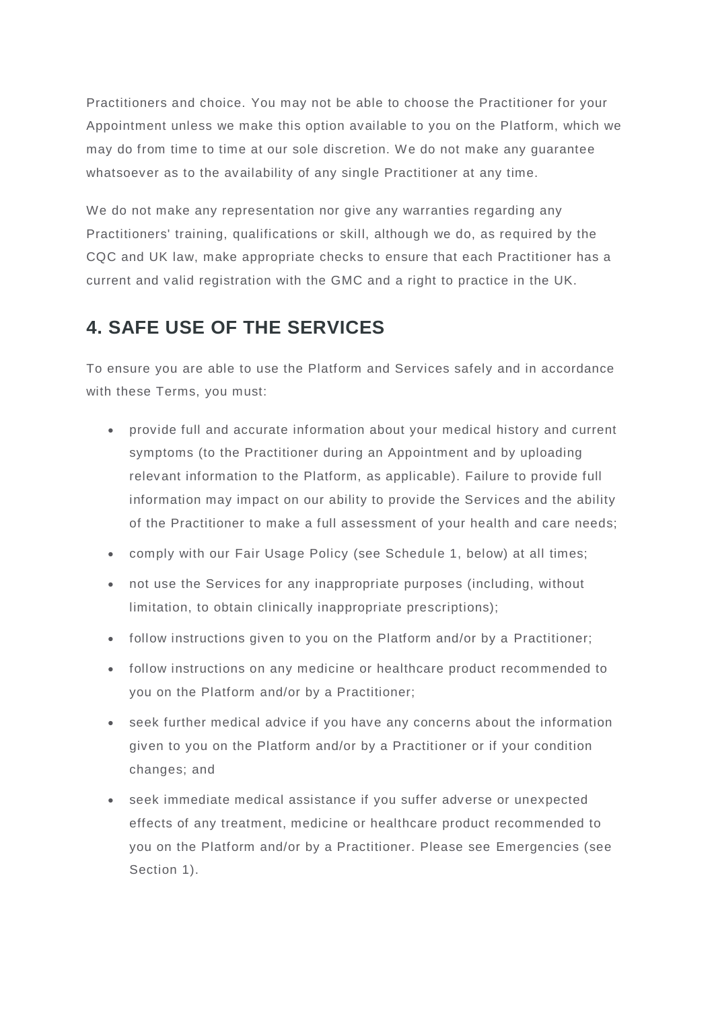Practitioners and choice. You may not be able to choose the Practitioner for your Appointment unless we make this option available to you on the Platform, which we may do from time to time at our sole discretion. We do not make any guarantee whatsoever as to the availability of any single Practitioner at any time.

We do not make any representation nor give any warranties regarding any Practitioners' training, qualifications or skill, although we do, as required by the CQC and UK law, make appropriate checks to ensure that each Practitioner has a current and valid registration with the GMC and a right to practice in the UK.

## **4. SAFE USE OF THE SERVICES**

To ensure you are able to use the Platform and Services safely and in accordance with these Terms, you must:

- provide full and accurate information about your medical history and current symptoms (to the Practitioner during an Appointment and by uploading relevant information to the Platform, as applicable). Failure to provide full information may impact on our ability to provide the Services and the ability of the Practitioner to make a full assessment of your health and care needs;
- comply with our Fair Usage Policy (see Schedule 1, below) at all times;
- not use the Services for any inappropriate purposes (including, without limitation, to obtain clinically inappropriate prescriptions);
- follow instructions given to you on the Platform and/or by a Practitioner;
- follow instructions on any medicine or healthcare product recommended to you on the Platform and/or by a Practitioner;
- seek further medical advice if you have any concerns about the information given to you on the Platform and/or by a Practitioner or if your condition changes; and
- seek immediate medical assistance if you suffer adverse or unexpected effects of any treatment, medicine or healthcare product recommended to you on the Platform and/or by a Practitioner. Please see Emergencies (see Section 1).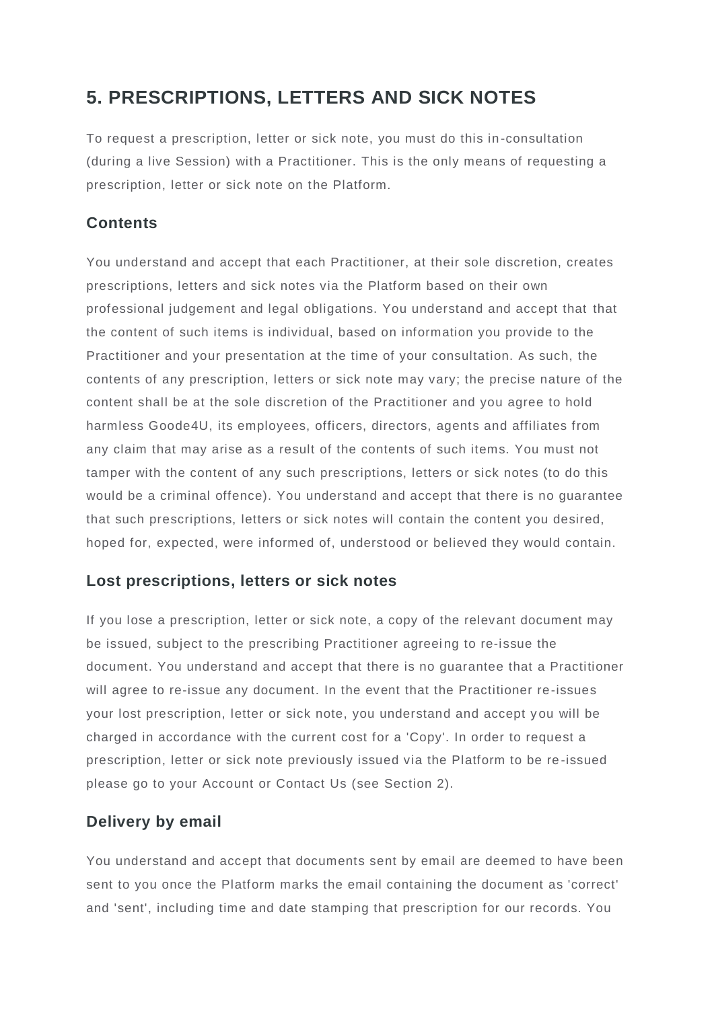# **5. PRESCRIPTIONS, LETTERS AND SICK NOTES**

To request a prescription, letter or sick note, you must do this in -consultation (during a live Session) with a Practitioner. This is the only means of requesting a prescription, letter or sick note on the Platform.

#### **Contents**

You understand and accept that each Practitioner, at their sole discretion, creates prescriptions, letters and sick notes via the Platform based on their own professional judgement and legal obligations. You understand and accept that that the content of such items is individual, based on information you provide to the Practitioner and your presentation at the time of your consultation. As such, the contents of any prescription, letters or sick note may vary; the precise nature of the content shall be at the sole discretion of the Practitioner and you agree to hold harmless Goode4U, its employees, officers, directors, agents and affiliates from any claim that may arise as a result of the contents of such items. You must not tamper with the content of any such prescriptions, letters or sick notes (to do this would be a criminal offence). You understand and accept that there is no guarantee that such prescriptions, letters or sick notes will contain the content you desired, hoped for, expected, were informed of, understood or believed they would contain.

#### **Lost prescriptions, letters or sick notes**

If you lose a prescription, letter or sick note, a copy of the relevant document may be issued, subject to the prescribing Practitioner agreeing to re-issue the document. You understand and accept that there is no guarantee that a Practitioner will agree to re-issue any document. In the event that the Practitioner re-issues your lost prescription, letter or sick note, you understand and accept y ou will be charged in accordance with the current cost for a 'Copy'. In order to request a prescription, letter or sick note previously issued via the Platform to be re -issued please go to your Account or Contact Us (see Section 2).

#### **Delivery by email**

You understand and accept that documents sent by email are deemed to have been sent to you once the Platform marks the email containing the document as 'correct' and 'sent', including time and date stamping that prescription for our records. You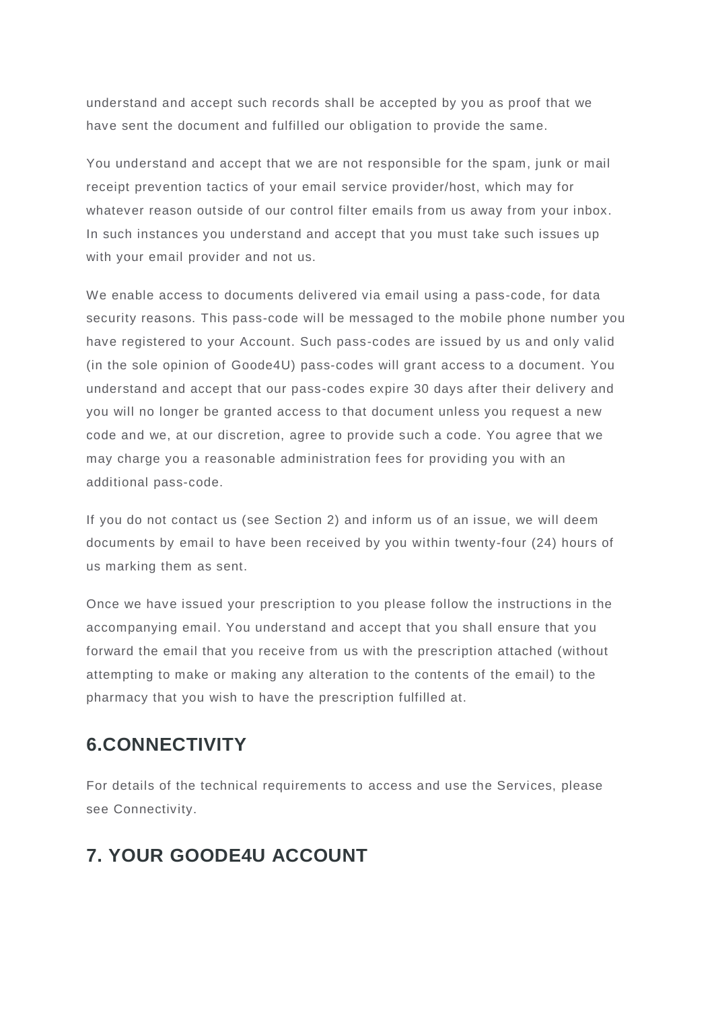understand and accept such records shall be accepted by you as proof that we have sent the document and fulfilled our obligation to provide the same.

You understand and accept that we are not responsible for the spam, junk or mail receipt prevention tactics of your email service provider/host, which may for whatever reason outside of our control filter emails from us away from your inbox. In such instances you understand and accept that you must take such issues up with your email provider and not us.

We enable access to documents delivered via email using a pass-code, for data security reasons. This pass-code will be messaged to the mobile phone number you have registered to your Account. Such pass-codes are issued by us and only valid (in the sole opinion of Goode4U) pass-codes will grant access to a document. You understand and accept that our pass-codes expire 30 days after their delivery and you will no longer be granted access to that document unless you request a new code and we, at our discretion, agree to provide such a code. You agree that we may charge you a reasonable administration fees for providing you with an additional pass-code.

If you do not contact us (see Section 2) and inform us of an issue, we will deem documents by email to have been received by you within twenty-four (24) hours of us marking them as sent.

Once we have issued your prescription to you please follow the instructions in the accompanying email. You understand and accept that you shall ensure that you forward the email that you receive from us with the prescription attached (without attempting to make or making any alteration to the contents of the email) to the pharmacy that you wish to have the prescription fulfilled at.

# **6.CONNECTIVITY**

For details of the technical requirements to access and use the Services, please see Connectivity.

# **7. YOUR GOODE4U ACCOUNT**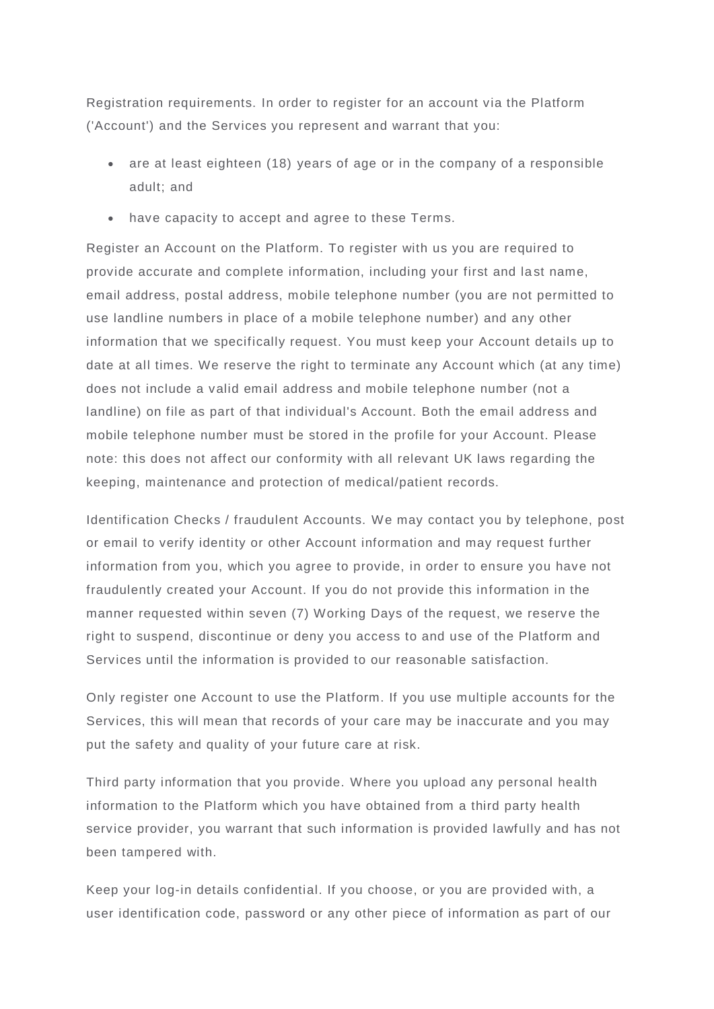Registration requirements. In order to register for an account via the Platform ('Account') and the Services you represent and warrant that you:

- are at least eighteen (18) years of age or in the company of a responsible adult; and
- have capacity to accept and agree to these Terms.

Register an Account on the Platform. To register with us you are required to provide accurate and complete information, including your first and la st name, email address, postal address, mobile telephone number (you are not permitted to use landline numbers in place of a mobile telephone number) and any other information that we specifically request. You must keep your Account details up to date at all times. We reserve the right to terminate any Account which (at any time) does not include a valid email address and mobile telephone number (not a landline) on file as part of that individual's Account. Both the email address and mobile telephone number must be stored in the profile for your Account. Please note: this does not affect our conformity with all relevant UK laws regarding the keeping, maintenance and protection of medical/patient records.

Identification Checks / fraudulent Accounts. We may contact you by telephone, post or email to verify identity or other Account information and may request further information from you, which you agree to provide, in order to ensure you have not fraudulently created your Account. If you do not provide this information in the manner requested within seven (7) Working Days of the request, we reserve the right to suspend, discontinue or deny you access to and use of the Platform and Services until the information is provided to our reasonable satisfaction.

Only register one Account to use the Platform. If you use multiple accounts for the Services, this will mean that records of your care may be inaccurate and you may put the safety and quality of your future care at risk.

Third party information that you provide. Where you upload any personal health information to the Platform which you have obtained from a third party health service provider, you warrant that such information is provided lawfully and has not been tampered with.

Keep your log-in details confidential. If you choose, or you are provided with, a user identification code, password or any other piece of information as part of our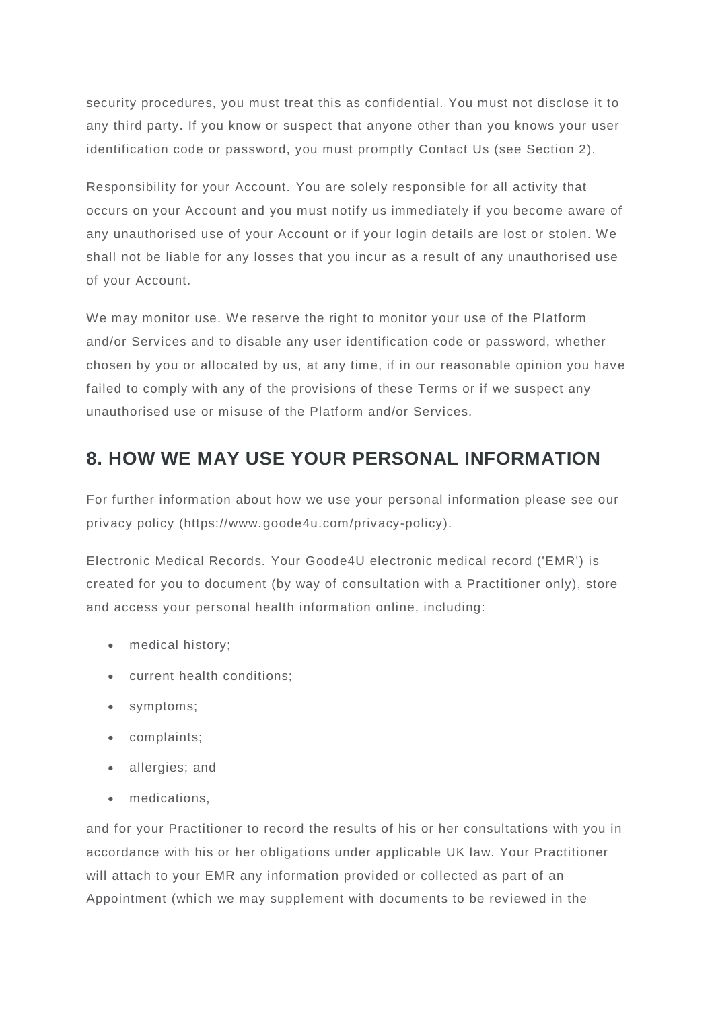security procedures, you must treat this as confidential. You must not disclose it to any third party. If you know or suspect that anyone other than you knows your user identification code or password, you must promptly Contact Us (see Section 2).

Responsibility for your Account. You are solely responsible for all activity that occurs on your Account and you must notify us immediately if you become aware of any unauthorised use of your Account or if your login details are lost or stolen. We shall not be liable for any losses that you incur as a result of any unauthorised use of your Account.

We may monitor use. We reserve the right to monitor your use of the Platform and/or Services and to disable any user identification code or password, whether chosen by you or allocated by us, at any time, if in our reasonable opinion you have failed to comply with any of the provisions of these Terms or if we suspect any unauthorised use or misuse of the Platform and/or Services.

## **8. HOW WE MAY USE YOUR PERSONAL INFORMATION**

For further information about how we use your personal information please see our privacy policy (https://www.goode4u.com/privacy-policy).

Electronic Medical Records. Your Goode4U electronic medical record ('EMR') is created for you to document (by way of consultation with a Practitioner only), store and access your personal health information online, including:

- medical history;
- current health conditions;
- symptoms;
- complaints;
- allergies; and
- medications,

and for your Practitioner to record the results of his or her consultations with you in accordance with his or her obligations under applicable UK law. Your Practitioner will attach to your EMR any information provided or collected as part of an Appointment (which we may supplement with documents to be reviewed in the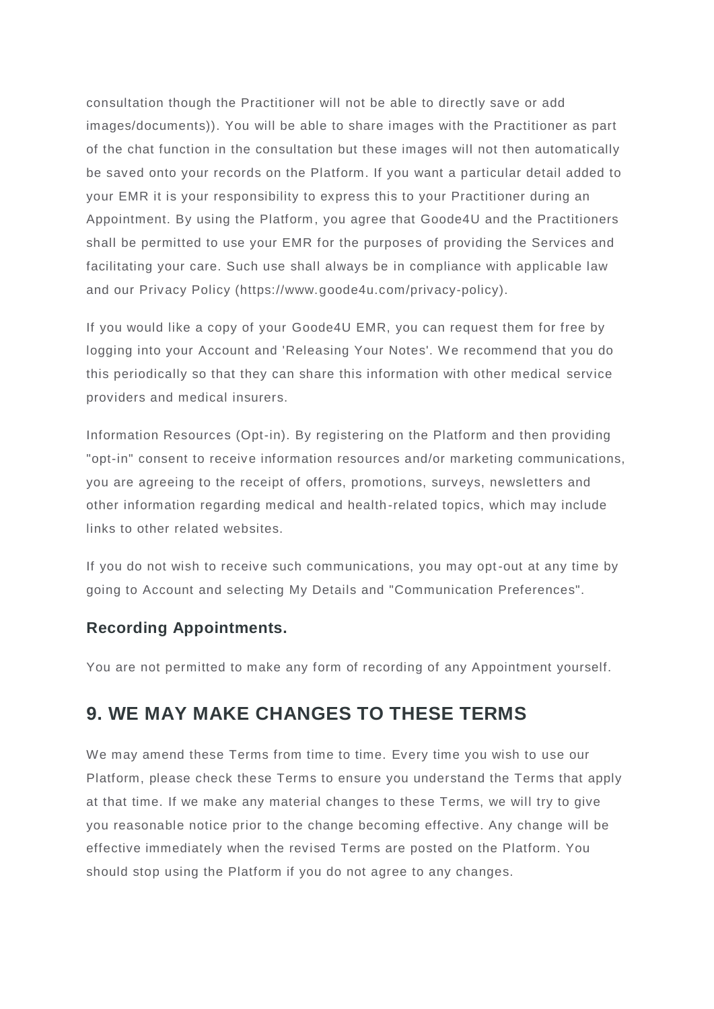consultation though the Practitioner will not be able to directly save or add images/documents)). You will be able to share images with the Practitioner as part of the chat function in the consultation but these images will not then automatically be saved onto your records on the Platform. If you want a particular detail added to your EMR it is your responsibility to express this to your Practitioner during an Appointment. By using the Platform, you agree that Goode4U and the Practitioners shall be permitted to use your EMR for the purposes of providing the Services and facilitating your care. Such use shall always be in compliance with applicable law and our Privacy Policy (https://www.goode4u.com/privacy-policy).

If you would like a copy of your Goode4U EMR, you can request them for free by logging into your Account and 'Releasing Your Notes'. We recommend that you do this periodically so that they can share this information with other medical service providers and medical insurers.

Information Resources (Opt-in). By registering on the Platform and then providing "opt-in" consent to receive information resources and/or marketing communications, you are agreeing to the receipt of offers, promotions, surveys, newsletters and other information regarding medical and health -related topics, which may include links to other related websites.

If you do not wish to receive such communications, you may opt-out at any time by going to Account and selecting My Details and "Communication Preferences".

#### **Recording Appointments.**

You are not permitted to make any form of recording of any Appointment yourself.

### **9. WE MAY MAKE CHANGES TO THESE TERMS**

We may amend these Terms from time to time. Every time you wish to use our Platform, please check these Terms to ensure you understand the Terms that apply at that time. If we make any material changes to these Terms, we will try to give you reasonable notice prior to the change becoming effective. Any change will be effective immediately when the revised Terms are posted on the Platform. You should stop using the Platform if you do not agree to any changes.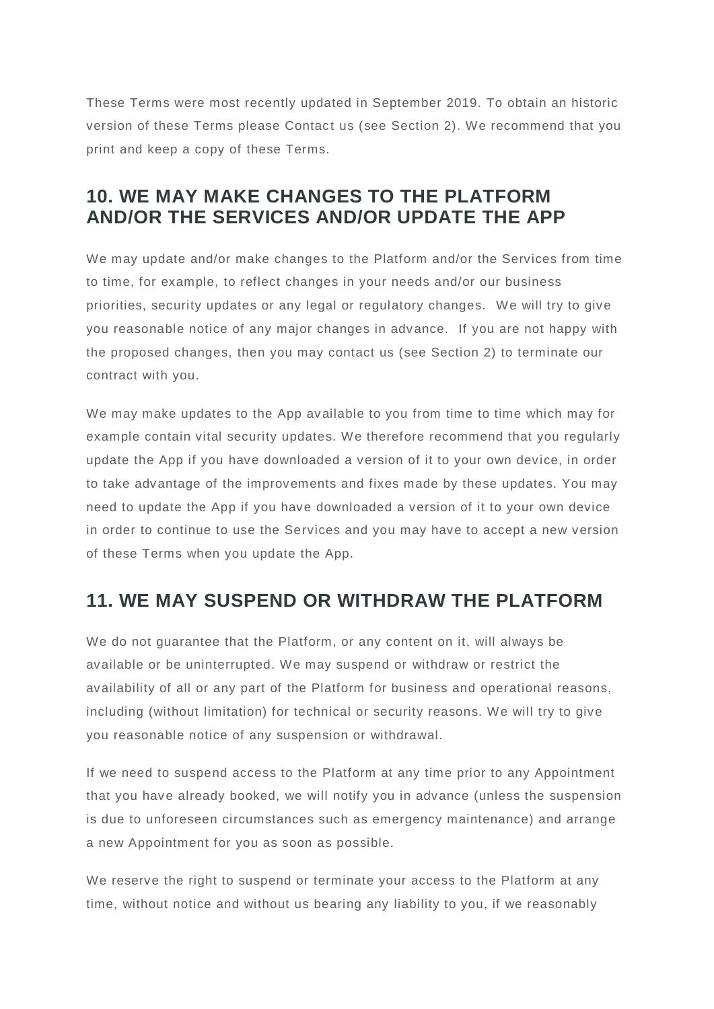These Terms were most recently updated in September 2019. To obtain an historic version of these Terms please Contact us (see Section 2). We recommend that you print and keep a copy of these Terms.

## **10. WE MAY MAKE CHANGES TO THE PLATFORM AND/OR THE SERVICES AND/OR UPDATE THE APP**

We may update and/or make changes to the Platform and/or the Services from time to time, for example, to reflect changes in your needs and/or our business priorities, security updates or any legal or regulatory changes. We will try to give you reasonable notice of any major changes in advance. If you are not happy with the proposed changes, then you may contact us (see Section 2) to terminate our contract with you.

We may make updates to the App available to you from time to time which may for example contain vital security updates. We therefore recommend that you regularly update the App if you have downloaded a version of it to your own device, in order to take advantage of the improvements and fixes made by these updates. You may need to update the App if you have downloaded a version of it to your own device in order to continue to use the Services and you may have to accept a new version of these Terms when you update the App.

# **11. WE MAY SUSPEND OR WITHDRAW THE PLATFORM**

We do not guarantee that the Platform, or any content on it, will always be available or be uninterrupted. We may suspend or withdraw or restrict the availability of all or any part of the Platform for business and operational reasons, including (without limitation) for technical or security reasons. We will try to give you reasonable notice of any suspension or withdrawal.

If we need to suspend access to the Platform at any time prior to any Appointment that you have already booked, we will notify you in advance (unless the suspension is due to unforeseen circumstances such as emergency maintenance) and arrange a new Appointment for you as soon as possible.

We reserve the right to suspend or terminate your access to the Platform at any time, without notice and without us bearing any liability to you, if we reasonably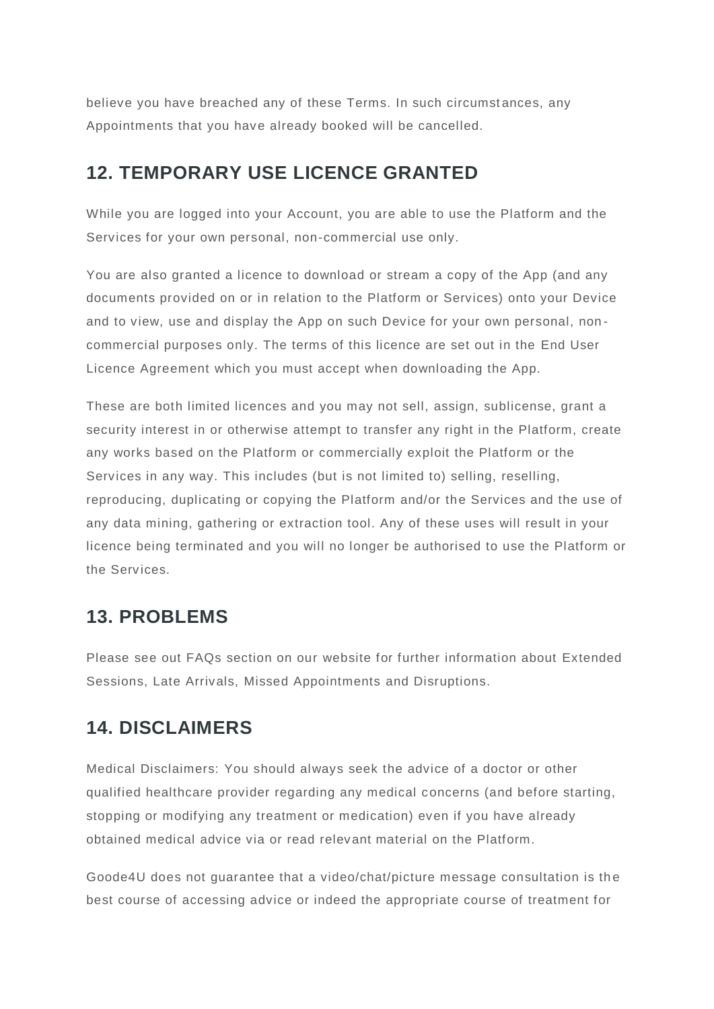believe you have breached any of these Terms. In such circumstances, any Appointments that you have already booked will be cancelled.

### **12. TEMPORARY USE LICENCE GRANTED**

While you are logged into your Account, you are able to use the Platform and the Services for your own personal, non-commercial use only.

You are also granted a licence to download or stream a copy of the App (and any documents provided on or in relation to the Platform or Services) onto your Device and to view, use and display the App on such Device for your own personal, non commercial purposes only. The terms of this licence are set out in the End User Licence Agreement which you must accept when downloading the App.

These are both limited licences and you may not sell, assign, sublicense, grant a security interest in or otherwise attempt to transfer any right in the Platform, create any works based on the Platform or commercially exploit the Platform or the Services in any way. This includes (but is not limited to) selling, reselling, reproducing, duplicating or copying the Platform and/or the Services and the use of any data mining, gathering or extraction tool. Any of these uses will result in your licence being terminated and you will no longer be authorised to use the Platform or the Services.

### **13. PROBLEMS**

Please see out FAQs section on our website for further information about Extended Sessions, Late Arrivals, Missed Appointments and Disruptions.

# **14. DISCLAIMERS**

Medical Disclaimers: You should always seek the advice of a doctor or other qualified healthcare provider regarding any medical concerns (and before starting, stopping or modifying any treatment or medication) even if you have already obtained medical advice via or read relevant material on the Platform.

Goode4U does not quarantee that a video/chat/picture message consultation is the best course of accessing advice or indeed the appropriate course of treatment for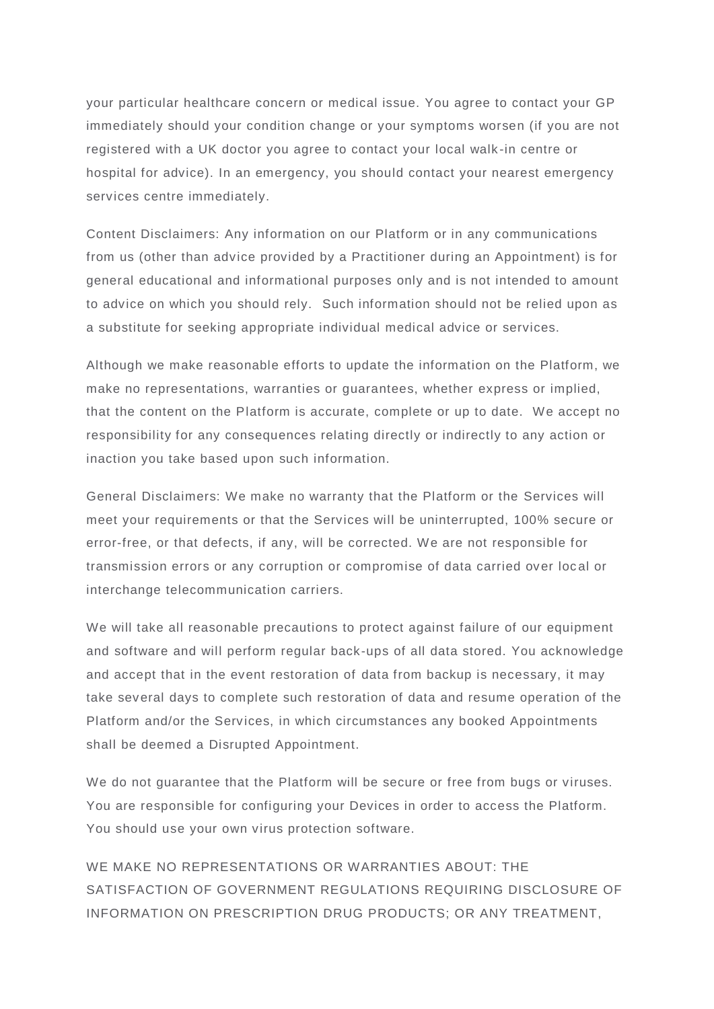your particular healthcare concern or medical issue. You agree to contact your GP immediately should your condition change or your symptoms worsen (if you are not registered with a UK doctor you agree to contact your local walk -in centre or hospital for advice). In an emergency, you should contact your nearest emergency services centre immediately.

Content Disclaimers: Any information on our Platform or in any communications from us (other than advice provided by a Practitioner during an Appointment) is for general educational and informational purposes only and is not intended to amount to advice on which you should rely. Such information should not be relied upon as a substitute for seeking appropriate individual medical advice or services.

Although we make reasonable efforts to update the information on the Platform, we make no representations, warranties or guarantees, whether express or implied, that the content on the Platform is accurate, complete or up to date. We accept no responsibility for any consequences relating directly or indirectly to any action or inaction you take based upon such information.

General Disclaimers: We make no warranty that the Platform or the Services will meet your requirements or that the Services will be uninterrupted, 100% secure or error-free, or that defects, if any, will be corrected. We are not responsible for transmission errors or any corruption or compromise of data carried over loc al or interchange telecommunication carriers.

We will take all reasonable precautions to protect against failure of our equipment and software and will perform regular back-ups of all data stored. You acknowledge and accept that in the event restoration of data from backup is necessary, it may take several days to complete such restoration of data and resume operation of the Platform and/or the Services, in which circumstances any booked Appointments shall be deemed a Disrupted Appointment.

We do not quarantee that the Platform will be secure or free from bugs or viruses. You are responsible for configuring your Devices in order to access the Platform. You should use your own virus protection software.

WE MAKE NO REPRESENTATIONS OR WARRANTIES ABOUT: THE SATISFACTION OF GOVERNMENT REGULATIONS REQUIRING DISCLOSURE OF INFORMATION ON PRESCRIPTION DRUG PRODUCTS; OR ANY TREATMENT,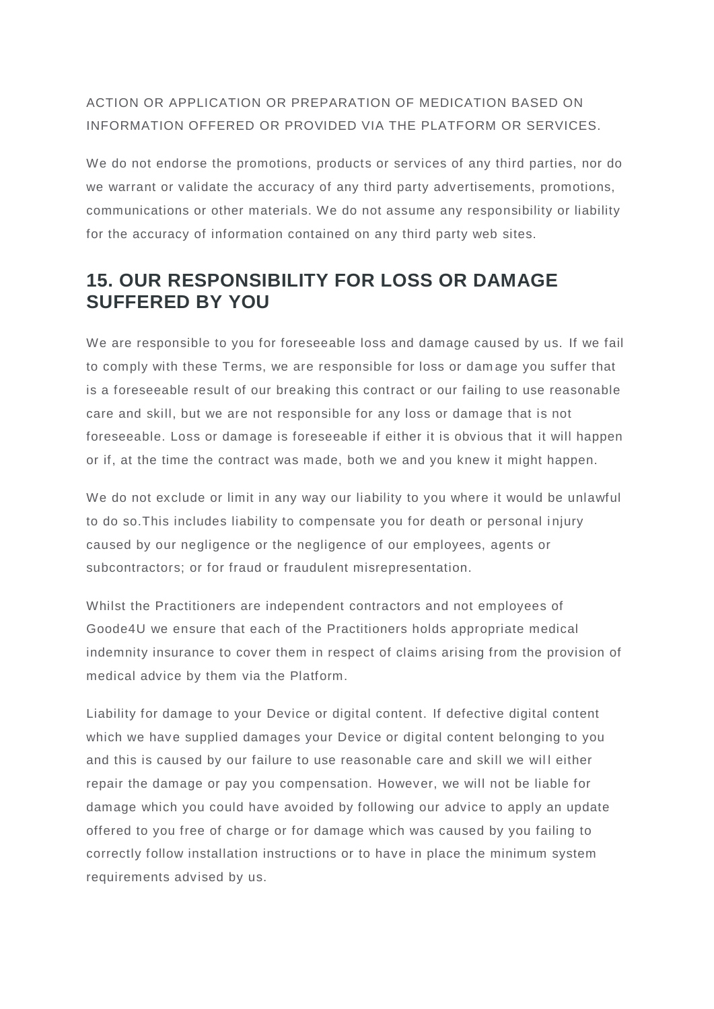#### ACTION OR APPLICATION OR PREPARATION OF MEDICATION BASED ON INFORMATION OFFERED OR PROVIDED VIA THE PLATFORM OR SERVICES.

We do not endorse the promotions, products or services of any third parties, nor do we warrant or validate the accuracy of any third party advertisements, promotions, communications or other materials. We do not assume any responsibility or liability for the accuracy of information contained on any third party web sites.

## **15. OUR RESPONSIBILITY FOR LOSS OR DAMAGE SUFFERED BY YOU**

We are responsible to you for foreseeable loss and damage caused by us. If we fail to comply with these Terms, we are responsible for loss or dam age you suffer that is a foreseeable result of our breaking this contract or our failing to use reasonable care and skill, but we are not responsible for any loss or damage that is not foreseeable. Loss or damage is foreseeable if either it is obvious that it will happen or if, at the time the contract was made, both we and you knew it might happen.

We do not exclude or limit in any way our liability to you where it would be unlawful to do so.This includes liability to compensate you for death or personal i njury caused by our negligence or the negligence of our employees, agents or subcontractors; or for fraud or fraudulent misrepresentation.

Whilst the Practitioners are independent contractors and not employees of Goode4U we ensure that each of the Practitioners holds appropriate medical indemnity insurance to cover them in respect of claims arising from the provision of medical advice by them via the Platform.

Liability for damage to your Device or digital content. If defective digital content which we have supplied damages your Device or digital content belonging to you and this is caused by our failure to use reasonable care and skill we will either repair the damage or pay you compensation. However, we will not be liable for damage which you could have avoided by following our advice to apply an update offered to you free of charge or for damage which was caused by you failing to correctly follow installation instructions or to have in place the minimum system requirements advised by us.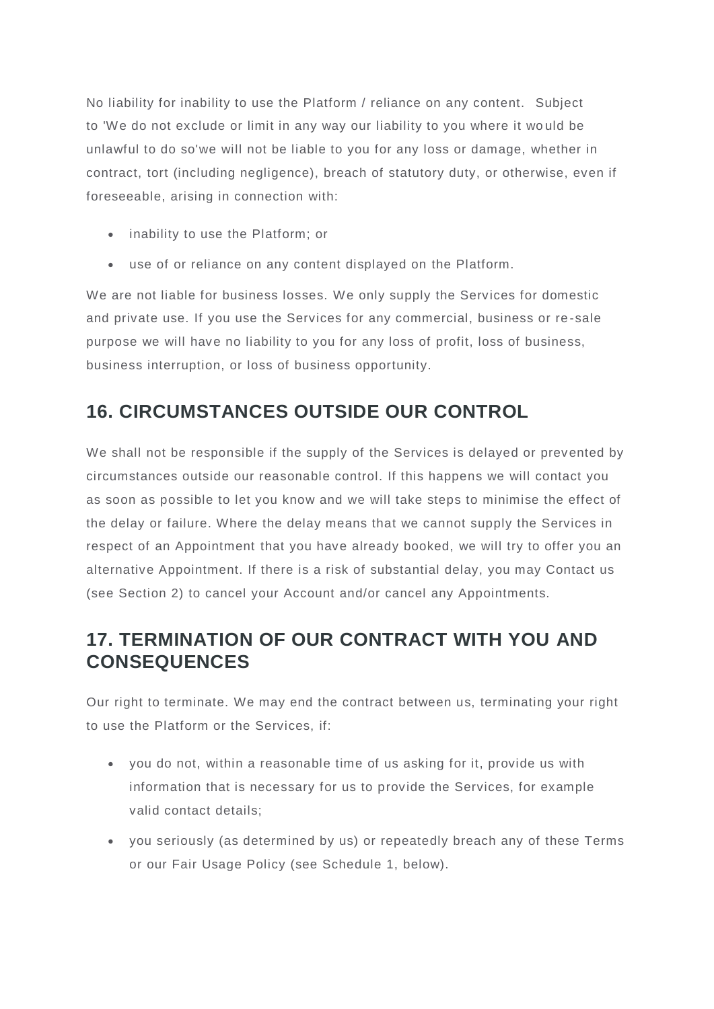No liability for inability to use the Platform / reliance on any content. Subject to 'We do not exclude or limit in any way our liability to you where it wo uld be unlawful to do so'we will not be liable to you for any loss or damage, whether in contract, tort (including negligence), breach of statutory duty, or otherwise, even if foreseeable, arising in connection with:

- inability to use the Platform; or
- use of or reliance on any content displayed on the Platform.

We are not liable for business losses. We only supply the Services for domestic and private use. If you use the Services for any commercial, business or re -sale purpose we will have no liability to you for any loss of profit, loss of business, business interruption, or loss of business opportunity.

# **16. CIRCUMSTANCES OUTSIDE OUR CONTROL**

We shall not be responsible if the supply of the Services is delayed or prevented by circumstances outside our reasonable control. If this happens we will contact you as soon as possible to let you know and we will take steps to minimise the effect of the delay or failure. Where the delay means that we cannot supply the Services in respect of an Appointment that you have already booked, we will try to offer you an alternative Appointment. If there is a risk of substantial delay, you may Contact us (see Section 2) to cancel your Account and/or cancel any Appointments.

# **17. TERMINATION OF OUR CONTRACT WITH YOU AND CONSEQUENCES**

Our right to terminate. We may end the contract between us, terminating your right to use the Platform or the Services, if:

- you do not, within a reasonable time of us asking for it, provide us with information that is necessary for us to provide the Services, for example valid contact details;
- you seriously (as determined by us) or repeatedly breach any of these Terms or our Fair Usage Policy (see Schedule 1, below).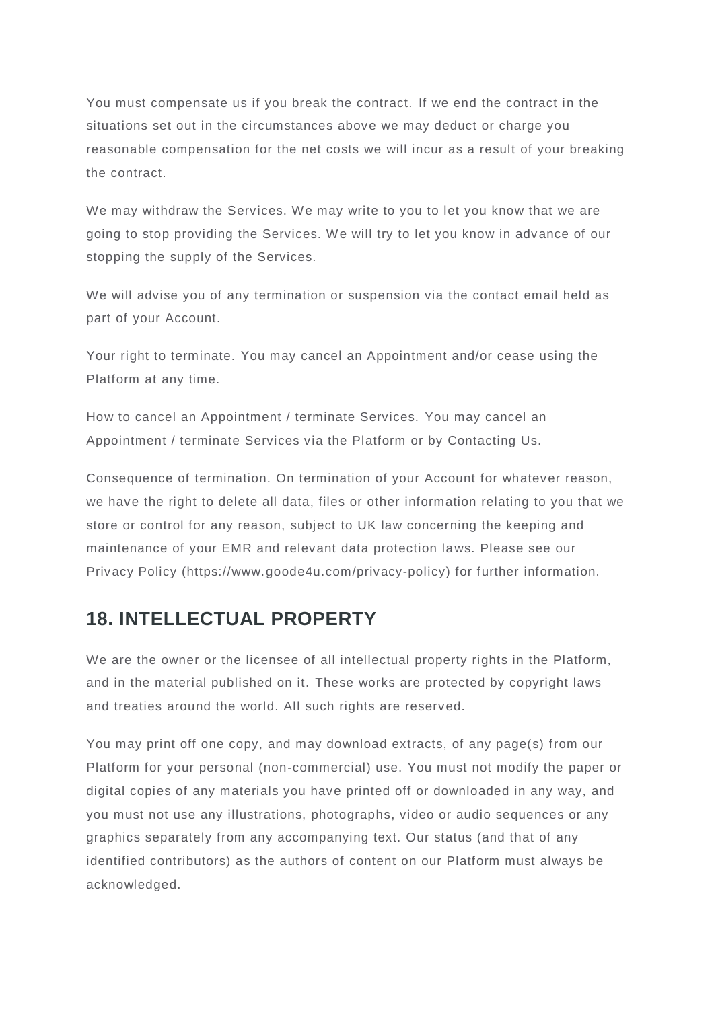You must compensate us if you break the contract. If we end the contract in the situations set out in the circumstances above we may deduct or charge you reasonable compensation for the net costs we will incur as a result of your breaking the contract.

We may withdraw the Services. We may write to you to let you know that we are going to stop providing the Services. We will try to let you know in advance of our stopping the supply of the Services.

We will advise you of any termination or suspension via the contact email held as part of your Account.

Your right to terminate. You may cancel an Appointment and/or cease using the Platform at any time.

How to cancel an Appointment / terminate Services. You may cancel an Appointment / terminate Services via the Platform or by Contacting Us.

Consequence of termination. On termination of your Account for whatever reason, we have the right to delete all data, files or other information relating to you that we store or control for any reason, subject to UK law concerning the keeping and maintenance of your EMR and relevant data protection laws. Please see our Privacy Policy (https://www.goode4u.com/privacy-policy) for further information.

# **18. INTELLECTUAL PROPERTY**

We are the owner or the licensee of all intellectual property rights in the Platform, and in the material published on it. These works are protected by copyright laws and treaties around the world. All such rights are reserved.

You may print off one copy, and may download extracts, of any page(s) from our Platform for your personal (non-commercial) use. You must not modify the paper or digital copies of any materials you have printed off or downloaded in any way, and you must not use any illustrations, photographs, video or audio sequences or any graphics separately from any accompanying text. Our status (and that of any identified contributors) as the authors of content on our Platform must always be acknowledged.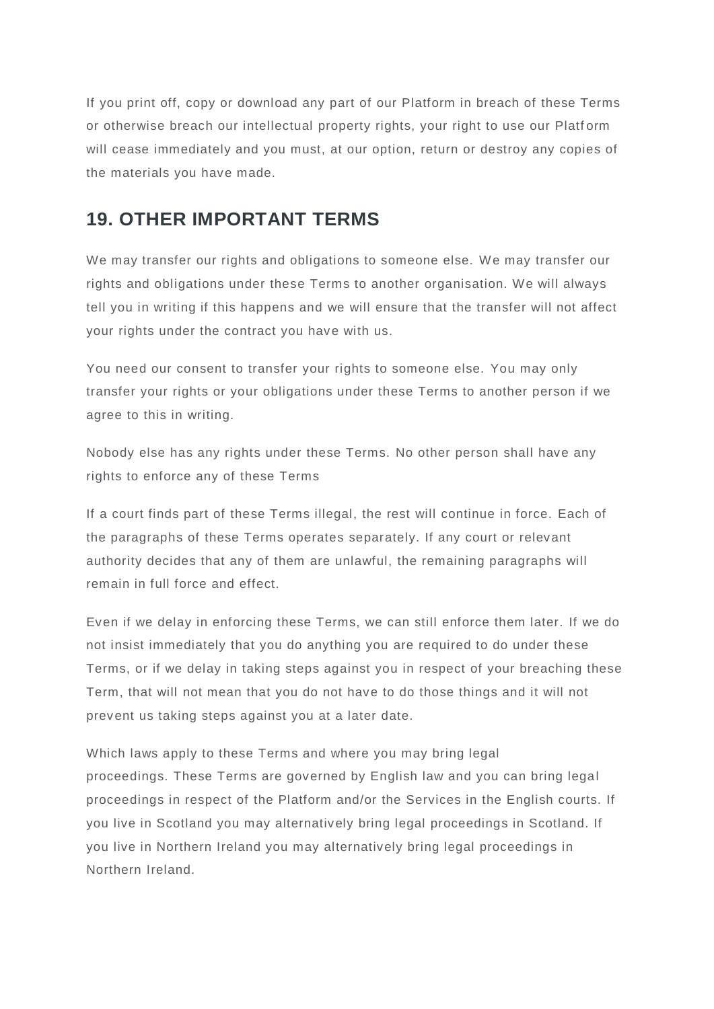If you print off, copy or download any part of our Platform in breach of these Terms or otherwise breach our intellectual property rights, your right to use our Platf orm will cease immediately and you must, at our option, return or destroy any copies of the materials you have made.

### **19. OTHER IMPORTANT TERMS**

We may transfer our rights and obligations to someone else. We may transfer our rights and obligations under these Terms to another organisation. We will always tell you in writing if this happens and we will ensure that the transfer will not affect your rights under the contract you have with us.

You need our consent to transfer your rights to someone else. You may only transfer your rights or your obligations under these Terms to another person if we agree to this in writing.

Nobody else has any rights under these Terms. No other person shall have any rights to enforce any of these Terms

If a court finds part of these Terms illegal, the rest will continue in force. Each of the paragraphs of these Terms operates separately. If any court or relevant authority decides that any of them are unlawful, the remaining paragraphs will remain in full force and effect.

Even if we delay in enforcing these Terms, we can still enforce them later. If we do not insist immediately that you do anything you are required to do under these Terms, or if we delay in taking steps against you in respect of your breaching these Term, that will not mean that you do not have to do those things and it will not prevent us taking steps against you at a later date.

Which laws apply to these Terms and where you may bring legal proceedings. These Terms are governed by English law and you can bring legal proceedings in respect of the Platform and/or the Services in the English courts. If you live in Scotland you may alternatively bring legal proceedings in Scotland. If you live in Northern Ireland you may alternatively bring legal proceedings in Northern Ireland.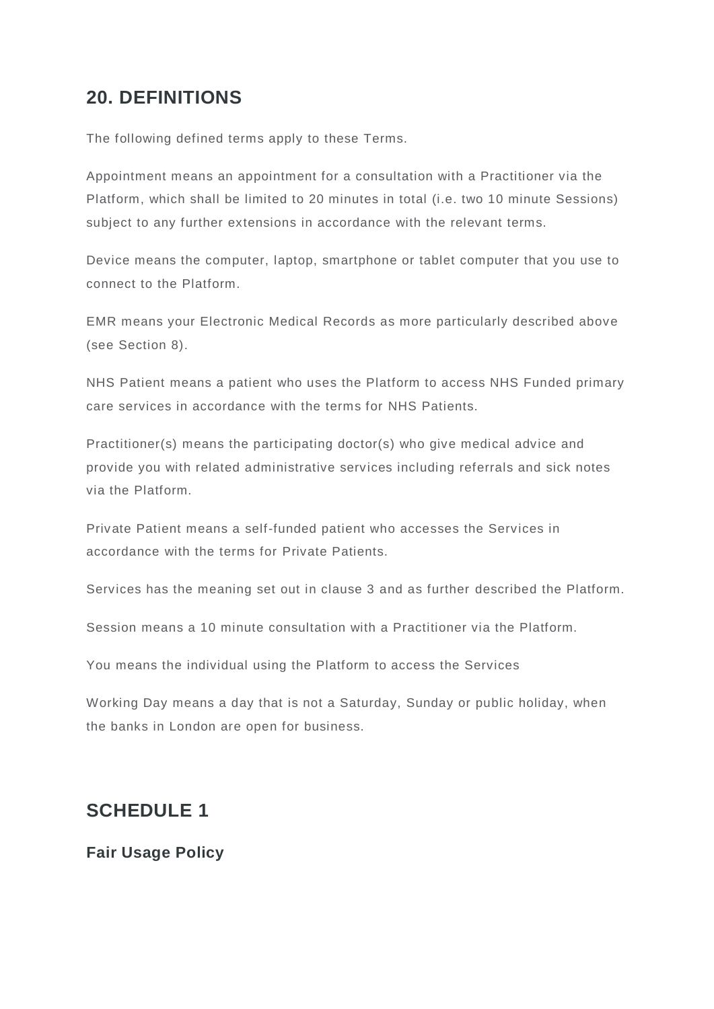## **20. DEFINITIONS**

The following defined terms apply to these Terms.

Appointment means an appointment for a consultation with a Practitioner via the Platform, which shall be limited to 20 minutes in total (i.e. two 10 minute Sessions) subject to any further extensions in accordance with the relevant terms.

Device means the computer, laptop, smartphone or tablet computer that you use to connect to the Platform.

EMR means your Electronic Medical Records as more particularly described above (see Section 8).

NHS Patient means a patient who uses the Platform to access NHS Funded primary care services in accordance with the terms for NHS Patients.

Practitioner(s) means the participating doctor(s) who give medical advice and provide you with related administrative services including referrals and sick notes via the Platform.

Private Patient means a self-funded patient who accesses the Services in accordance with the terms for Private Patients.

Services has the meaning set out in clause 3 and as further described the Platform.

Session means a 10 minute consultation with a Practitioner via the Platform.

You means the individual using the Platform to access the Services

Working Day means a day that is not a Saturday, Sunday or public holiday, when the banks in London are open for business.

### **SCHEDULE 1**

#### **Fair Usage Policy**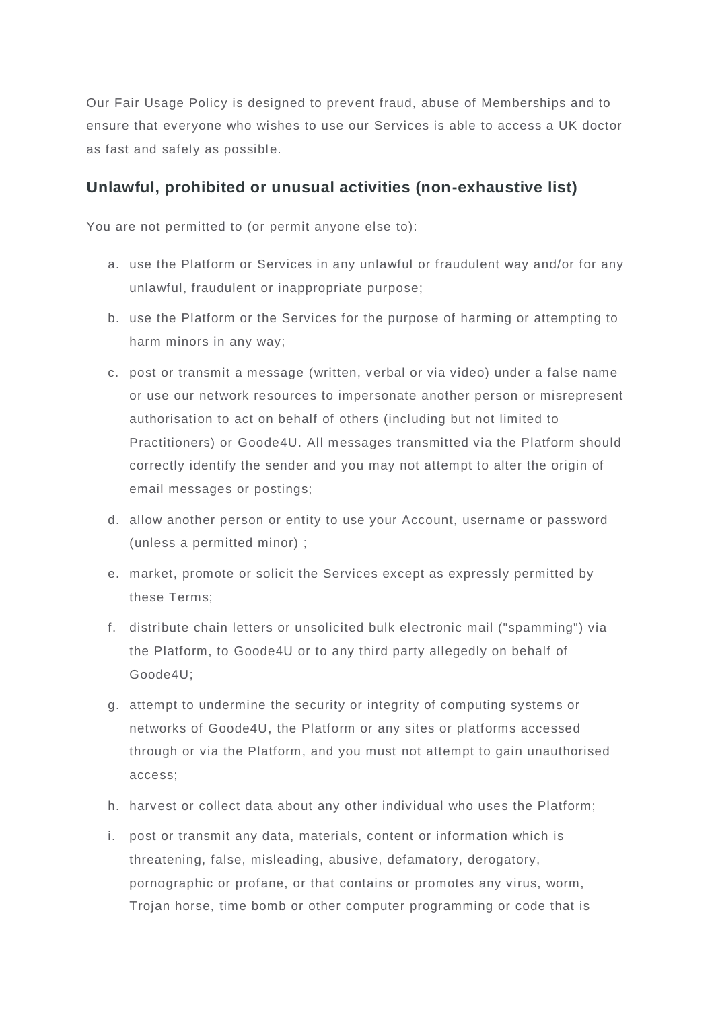Our Fair Usage Policy is designed to prevent fraud, abuse of Memberships and to ensure that everyone who wishes to use our Services is able to access a UK doctor as fast and safely as possible.

#### **Unlawful, prohibited or unusual activities (non-exhaustive list)**

You are not permitted to (or permit anyone else to):

- a. use the Platform or Services in any unlawful or fraudulent way and/or for any unlawful, fraudulent or inappropriate purpose;
- b. use the Platform or the Services for the purpose of harming or attempting to harm minors in any way;
- c. post or transmit a message (written, verbal or via video) under a false name or use our network resources to impersonate another person or misrepresent authorisation to act on behalf of others (including but not limited to Practitioners) or Goode4U. All messages transmitted via the Platform should correctly identify the sender and you may not attempt to alter the origin of email messages or postings;
- d. allow another person or entity to use your Account, username or password (unless a permitted minor) ;
- e. market, promote or solicit the Services except as expressly permitted by these Terms;
- f. distribute chain letters or unsolicited bulk electronic mail ("spamming") via the Platform, to Goode4U or to any third party allegedly on behalf of Goode4U;
- g. attempt to undermine the security or integrity of computing systems or networks of Goode4U, the Platform or any sites or platforms accessed through or via the Platform, and you must not attempt to gain unauthorised access;
- h. harvest or collect data about any other individual who uses the Platform;
- i. post or transmit any data, materials, content or information which is threatening, false, misleading, abusive, defamatory, derogatory, pornographic or profane, or that contains or promotes any virus, worm, Trojan horse, time bomb or other computer programming or code that is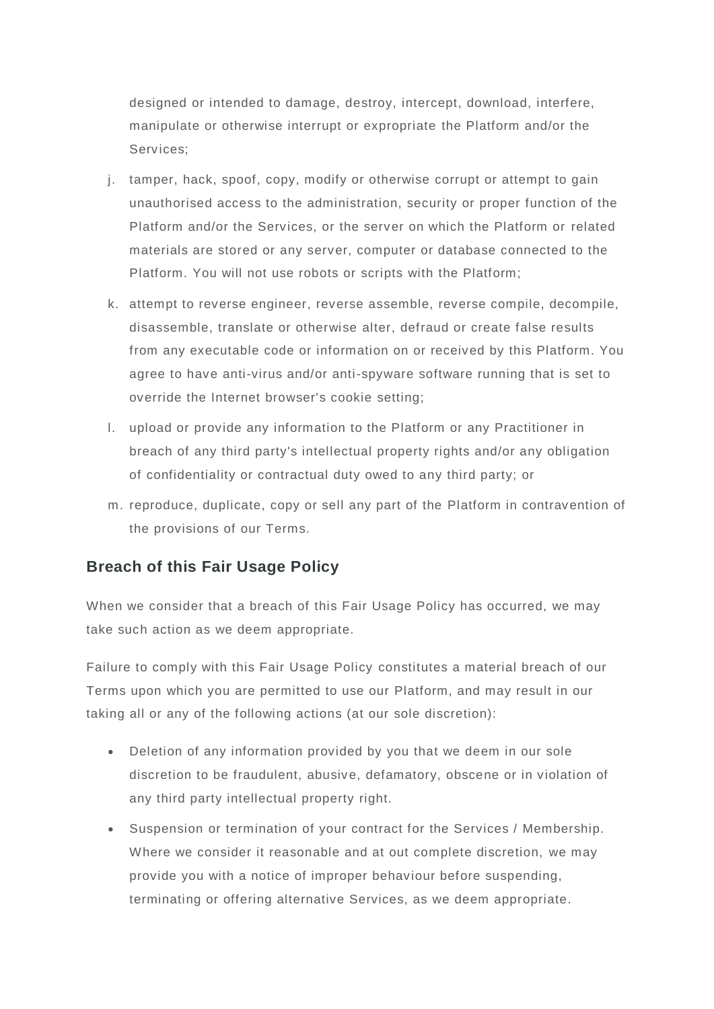designed or intended to damage, destroy, intercept, download, interfere, manipulate or otherwise interrupt or expropriate the Platform and/or the Services;

- j. tamper, hack, spoof, copy, modify or otherwise corrupt or attempt to gain unauthorised access to the administration, security or proper function of the Platform and/or the Services, or the server on which the Platform or related materials are stored or any server, computer or database connected to the Platform. You will not use robots or scripts with the Platform;
- k. attempt to reverse engineer, reverse assemble, reverse compile, decompile, disassemble, translate or otherwise alter, defraud or create false results from any executable code or information on or received by this Platform. You agree to have anti-virus and/or anti-spyware software running that is set to override the Internet browser's cookie setting;
- l. upload or provide any information to the Platform or any Practitioner in breach of any third party's intellectual property rights and/or any obligation of confidentiality or contractual duty owed to any third party; or
- m. reproduce, duplicate, copy or sell any part of the Platform in contravention of the provisions of our Terms.

#### **Breach of this Fair Usage Policy**

When we consider that a breach of this Fair Usage Policy has occurred, we may take such action as we deem appropriate.

Failure to comply with this Fair Usage Policy constitutes a material breach of our Terms upon which you are permitted to use our Platform, and may result in our taking all or any of the following actions (at our sole discretion):

- Deletion of any information provided by you that we deem in our sole discretion to be fraudulent, abusive, defamatory, obscene or in violation of any third party intellectual property right.
- Suspension or termination of your contract for the Services / Membership. Where we consider it reasonable and at out complete discretion, we may provide you with a notice of improper behaviour before suspending, terminating or offering alternative Services, as we deem appropriate.